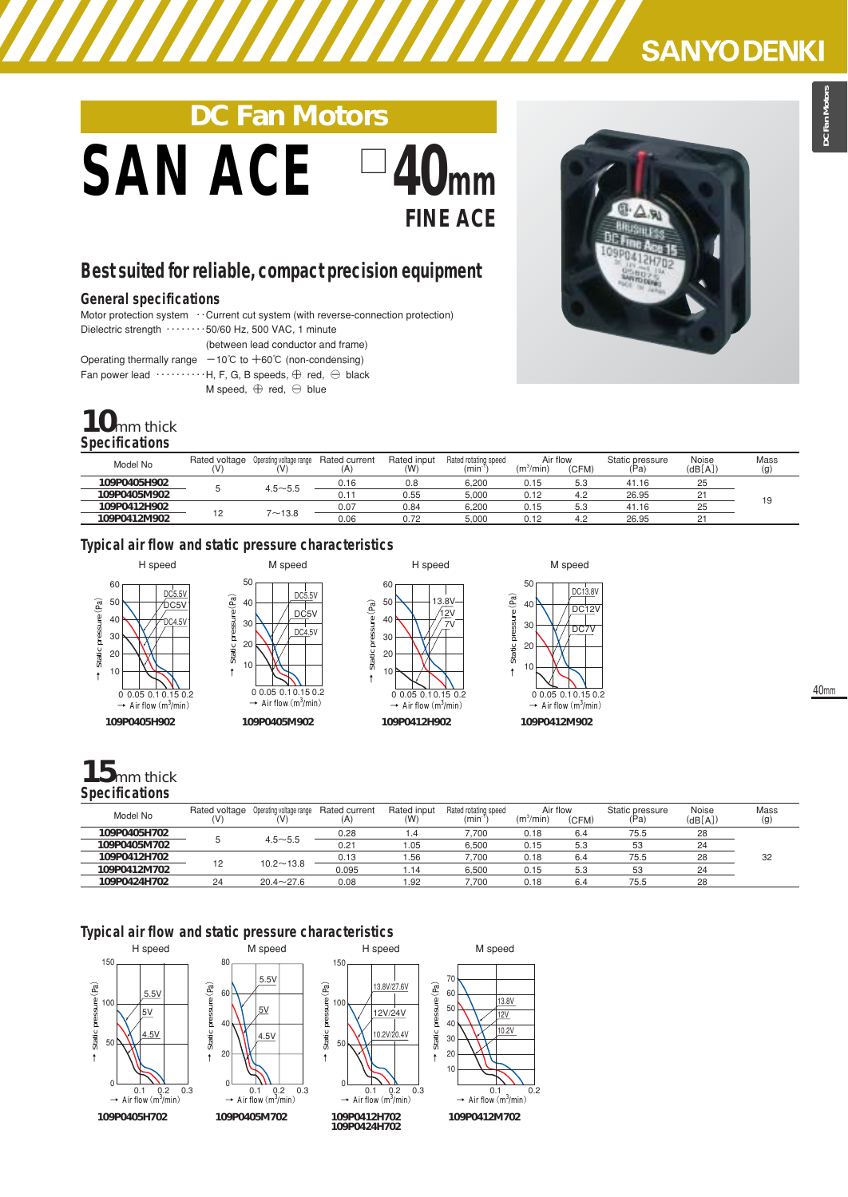## **SANYO DENKI**

# **DC Fan Motors**  $SAN$  ACE **FINE ACE**

## **Best suited for reliable, compact precision equipment**

#### **General specifications**

Motor protection system ⋯ Current cut system (with reverse-connection protection) Dielectric strength  $\cdots \cdots \cdots 50/60$  Hz, 500 VAC, 1 minute

(between lead conductor and frame)

Operating thermally range  $-10^{\circ}$ C to  $+60^{\circ}$ C (non-condensing)

Fan power lead  $\cdots$   $\cdots$   $\cdots$  H, F, G, B speeds,  $\oplus$  red,  $\ominus$  black

M speed,  $\oplus$  red,  $\ominus$  blue

## **10**mm thick **Specifications**

| Model No     | Rated voltage<br>٨V | Operating voltage range<br>'V | Rated current<br>(A | Rated input<br>(W) | Rated rotating speed<br>(min | Air flow<br>$(m^3/min)$ | (CFM) | Static pressure<br>'Pa <sub>r</sub> | Noise<br>(dB[A]) | Mass<br>(g) |
|--------------|---------------------|-------------------------------|---------------------|--------------------|------------------------------|-------------------------|-------|-------------------------------------|------------------|-------------|
| 109P0405H902 |                     |                               | 0.16                | 0.8                | 6.200                        | 0.15                    | 5.3   | 41.16                               | っよ<br>دے         |             |
| 109P0405M902 |                     | $4.5 - 5.5$                   | 0.11                | 0.55               | 5.000                        | 0.12                    | 4.2   | 26.95                               | n.               |             |
| 109P0412H902 | $\overline{a}$<br>╺ |                               | 0.07                | 0.84               | 6.200                        | 0.15                    | 5.3   | 41.16                               | دے               | 19          |
| 109P0412M902 |                     | $7 - 13.8$                    | 0.06                | 0.72               | 5.000                        | 0.12                    | 4.2   | 26.95                               | n.               |             |

### **Typical air flow and static pressure characteristics**







## 40mm

## **15**mm thick **Specifications**

| Model No     | Rated voltage<br>(V | Operating voltage range | Rated current<br>(A) | Rated input<br>(W) | Rated rotating speed<br>(min <sup>-</sup> | Air flow<br>(m <sup>3</sup> /min) | (CFM) | Static pressure<br>'Pa, | Noise<br>(dB[A]) | Mass<br>(g) |
|--------------|---------------------|-------------------------|----------------------|--------------------|-------------------------------------------|-----------------------------------|-------|-------------------------|------------------|-------------|
| 109P0405H702 |                     | $4.5 - 5.5$             | 0.28                 | 1.4                | .700                                      | 0.18                              | 6.4   | 75.5                    | 28               |             |
| 109P0405M702 |                     |                         | 0.21                 | 05. ،              | 6.500                                     | 0.15                              | 5.3   | 53                      | 24               |             |
| 109P0412H702 | 12                  |                         | 0.13                 | .56                | 7.700                                     | 0.18                              | 6.4   | 75.5                    | 28               | 32          |
| 109P0412M702 |                     | $10.2 - 13.8$           | 0.095                | i.14               | 6,500                                     | 0.15                              | 5.3   | 53                      | 24               |             |
| 109P0424H702 | 24                  | $20.4 \sim 27.6$        | 0.08                 | 1.92               | 7.700                                     | 0.18                              | 6.4   | 75.5                    | 28               |             |

## **Typical air flow and static pressure characteristics**